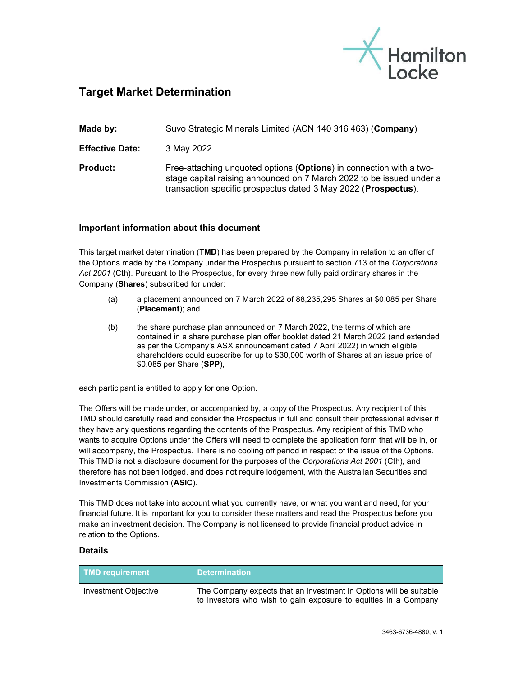

## Target Market Determination

| Made by:               | Suvo Strategic Minerals Limited (ACN 140 316 463) (Company)                                                                                                                                                   |
|------------------------|---------------------------------------------------------------------------------------------------------------------------------------------------------------------------------------------------------------|
| <b>Effective Date:</b> | 3 May 2022                                                                                                                                                                                                    |
| <b>Product:</b>        | Free-attaching unquoted options (Options) in connection with a two-<br>stage capital raising announced on 7 March 2022 to be issued under a<br>transaction specific prospectus dated 3 May 2022 (Prospectus). |

## Important information about this document

This target market determination (TMD) has been prepared by the Company in relation to an offer of the Options made by the Company under the Prospectus pursuant to section 713 of the Corporations Act 2001 (Cth). Pursuant to the Prospectus, for every three new fully paid ordinary shares in the Company (Shares) subscribed for under:

- (a) a placement announced on 7 March 2022 of 88,235,295 Shares at \$0.085 per Share (Placement); and
- (b) the share purchase plan announced on 7 March 2022, the terms of which are contained in a share purchase plan offer booklet dated 21 March 2022 (and extended as per the Company's ASX announcement dated 7 April 2022) in which eligible shareholders could subscribe for up to \$30,000 worth of Shares at an issue price of \$0.085 per Share (SPP),

each participant is entitled to apply for one Option.

The Offers will be made under, or accompanied by, a copy of the Prospectus. Any recipient of this TMD should carefully read and consider the Prospectus in full and consult their professional adviser if they have any questions regarding the contents of the Prospectus. Any recipient of this TMD who wants to acquire Options under the Offers will need to complete the application form that will be in, or will accompany, the Prospectus. There is no cooling off period in respect of the issue of the Options. This TMD is not a disclosure document for the purposes of the Corporations Act 2001 (Cth), and therefore has not been lodged, and does not require lodgement, with the Australian Securities and Investments Commission (ASIC).

This TMD does not take into account what you currently have, or what you want and need, for your financial future. It is important for you to consider these matters and read the Prospectus before you make an investment decision. The Company is not licensed to provide financial product advice in relation to the Options.

## Details

| <b>TMD requirement</b> | <b>Determination</b>                                                                                                                  |
|------------------------|---------------------------------------------------------------------------------------------------------------------------------------|
| Investment Objective   | The Company expects that an investment in Options will be suitable<br>to investors who wish to gain exposure to equities in a Company |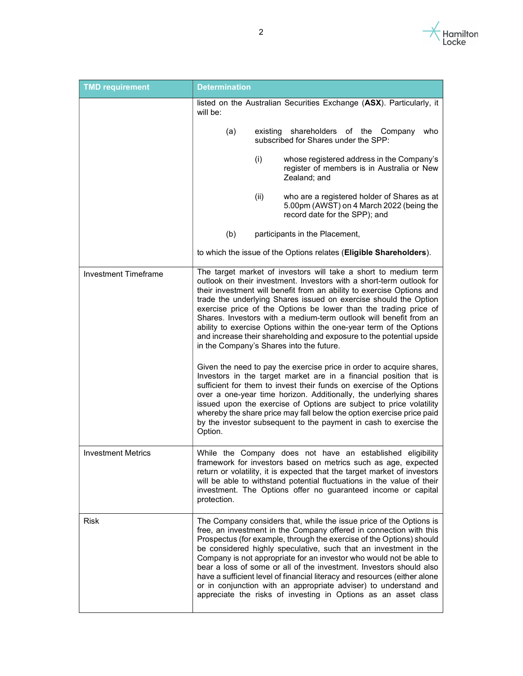

| <b>TMD requirement</b>      | <b>Determination</b>                                                                                                                                                                                                                                                                                                                                                                                                                                                                                                                                                                                                                                                                                                                                                                                                                                                                                                                                                                                                                                                                                                                     |  |  |  |  |
|-----------------------------|------------------------------------------------------------------------------------------------------------------------------------------------------------------------------------------------------------------------------------------------------------------------------------------------------------------------------------------------------------------------------------------------------------------------------------------------------------------------------------------------------------------------------------------------------------------------------------------------------------------------------------------------------------------------------------------------------------------------------------------------------------------------------------------------------------------------------------------------------------------------------------------------------------------------------------------------------------------------------------------------------------------------------------------------------------------------------------------------------------------------------------------|--|--|--|--|
|                             | listed on the Australian Securities Exchange (ASX). Particularly, it<br>will be:                                                                                                                                                                                                                                                                                                                                                                                                                                                                                                                                                                                                                                                                                                                                                                                                                                                                                                                                                                                                                                                         |  |  |  |  |
|                             | (a)<br>existing shareholders of the Company<br>who<br>subscribed for Shares under the SPP:                                                                                                                                                                                                                                                                                                                                                                                                                                                                                                                                                                                                                                                                                                                                                                                                                                                                                                                                                                                                                                               |  |  |  |  |
|                             | (i)<br>whose registered address in the Company's<br>register of members is in Australia or New<br>Zealand; and                                                                                                                                                                                                                                                                                                                                                                                                                                                                                                                                                                                                                                                                                                                                                                                                                                                                                                                                                                                                                           |  |  |  |  |
|                             | (ii)<br>who are a registered holder of Shares as at<br>5.00pm (AWST) on 4 March 2022 (being the<br>record date for the SPP); and                                                                                                                                                                                                                                                                                                                                                                                                                                                                                                                                                                                                                                                                                                                                                                                                                                                                                                                                                                                                         |  |  |  |  |
|                             | (b)<br>participants in the Placement,                                                                                                                                                                                                                                                                                                                                                                                                                                                                                                                                                                                                                                                                                                                                                                                                                                                                                                                                                                                                                                                                                                    |  |  |  |  |
|                             | to which the issue of the Options relates (Eligible Shareholders).                                                                                                                                                                                                                                                                                                                                                                                                                                                                                                                                                                                                                                                                                                                                                                                                                                                                                                                                                                                                                                                                       |  |  |  |  |
| <b>Investment Timeframe</b> | The target market of investors will take a short to medium term<br>outlook on their investment. Investors with a short-term outlook for<br>their investment will benefit from an ability to exercise Options and<br>trade the underlying Shares issued on exercise should the Option<br>exercise price of the Options be lower than the trading price of<br>Shares. Investors with a medium-term outlook will benefit from an<br>ability to exercise Options within the one-year term of the Options<br>and increase their shareholding and exposure to the potential upside<br>in the Company's Shares into the future.<br>Given the need to pay the exercise price in order to acquire shares,<br>Investors in the target market are in a financial position that is<br>sufficient for them to invest their funds on exercise of the Options<br>over a one-year time horizon. Additionally, the underlying shares<br>issued upon the exercise of Options are subject to price volatility<br>whereby the share price may fall below the option exercise price paid<br>by the investor subsequent to the payment in cash to exercise the |  |  |  |  |
| <b>Investment Metrics</b>   | Option.<br>While the Company does not have an established eligibility<br>framework for investors based on metrics such as age, expected<br>return or volatility, it is expected that the target market of investors<br>will be able to withstand potential fluctuations in the value of their<br>investment. The Options offer no guaranteed income or capital<br>protection.                                                                                                                                                                                                                                                                                                                                                                                                                                                                                                                                                                                                                                                                                                                                                            |  |  |  |  |
| Risk                        | The Company considers that, while the issue price of the Options is<br>free, an investment in the Company offered in connection with this<br>Prospectus (for example, through the exercise of the Options) should<br>be considered highly speculative, such that an investment in the<br>Company is not appropriate for an investor who would not be able to<br>bear a loss of some or all of the investment. Investors should also<br>have a sufficient level of financial literacy and resources (either alone<br>or in conjunction with an appropriate adviser) to understand and<br>appreciate the risks of investing in Options as an asset class                                                                                                                                                                                                                                                                                                                                                                                                                                                                                   |  |  |  |  |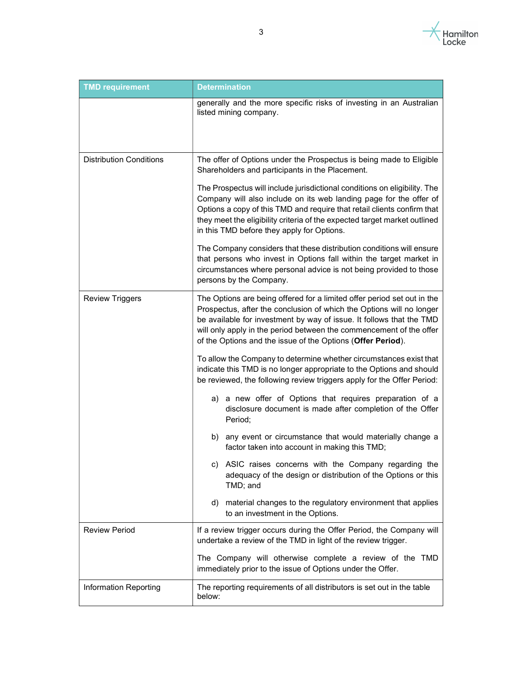

| <b>TMD requirement</b>         | <b>Determination</b>                                                                                                                                                                                                                                                                                                                                          |  |  |  |
|--------------------------------|---------------------------------------------------------------------------------------------------------------------------------------------------------------------------------------------------------------------------------------------------------------------------------------------------------------------------------------------------------------|--|--|--|
|                                | generally and the more specific risks of investing in an Australian<br>listed mining company.                                                                                                                                                                                                                                                                 |  |  |  |
| <b>Distribution Conditions</b> | The offer of Options under the Prospectus is being made to Eligible<br>Shareholders and participants in the Placement.                                                                                                                                                                                                                                        |  |  |  |
|                                | The Prospectus will include jurisdictional conditions on eligibility. The<br>Company will also include on its web landing page for the offer of<br>Options a copy of this TMD and require that retail clients confirm that<br>they meet the eligibility criteria of the expected target market outlined<br>in this TMD before they apply for Options.         |  |  |  |
|                                | The Company considers that these distribution conditions will ensure<br>that persons who invest in Options fall within the target market in<br>circumstances where personal advice is not being provided to those<br>persons by the Company.                                                                                                                  |  |  |  |
| <b>Review Triggers</b>         | The Options are being offered for a limited offer period set out in the<br>Prospectus, after the conclusion of which the Options will no longer<br>be available for investment by way of issue. It follows that the TMD<br>will only apply in the period between the commencement of the offer<br>of the Options and the issue of the Options (Offer Period). |  |  |  |
|                                | To allow the Company to determine whether circumstances exist that<br>indicate this TMD is no longer appropriate to the Options and should<br>be reviewed, the following review triggers apply for the Offer Period:                                                                                                                                          |  |  |  |
|                                | a) a new offer of Options that requires preparation of a<br>disclosure document is made after completion of the Offer<br>Period;                                                                                                                                                                                                                              |  |  |  |
|                                | any event or circumstance that would materially change a<br>b)<br>factor taken into account in making this TMD;                                                                                                                                                                                                                                               |  |  |  |
|                                | c) ASIC raises concerns with the Company regarding the<br>adequacy of the design or distribution of the Options or this<br>TMD; and                                                                                                                                                                                                                           |  |  |  |
|                                | material changes to the regulatory environment that applies<br>d)<br>to an investment in the Options.                                                                                                                                                                                                                                                         |  |  |  |
| <b>Review Period</b>           | If a review trigger occurs during the Offer Period, the Company will<br>undertake a review of the TMD in light of the review trigger.                                                                                                                                                                                                                         |  |  |  |
|                                | The Company will otherwise complete a review of the TMD<br>immediately prior to the issue of Options under the Offer.                                                                                                                                                                                                                                         |  |  |  |
| Information Reporting          | The reporting requirements of all distributors is set out in the table<br>below:                                                                                                                                                                                                                                                                              |  |  |  |